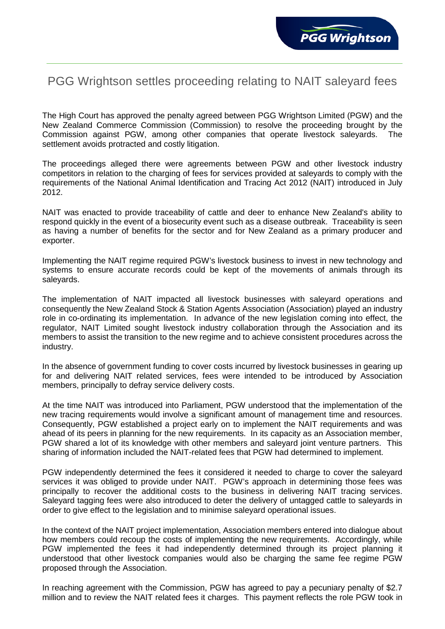## PGG Wrightson settles proceeding relating to NAIT saleyard fees

The High Court has approved the penalty agreed between PGG Wrightson Limited (PGW) and the New Zealand Commerce Commission (Commission) to resolve the proceeding brought by the Commission against PGW, among other companies that operate livestock saleyards. The settlement avoids protracted and costly litigation.

The proceedings alleged there were agreements between PGW and other livestock industry competitors in relation to the charging of fees for services provided at saleyards to comply with the requirements of the National Animal Identification and Tracing Act 2012 (NAIT) introduced in July 2012.

NAIT was enacted to provide traceability of cattle and deer to enhance New Zealand's ability to respond quickly in the event of a biosecurity event such as a disease outbreak. Traceability is seen as having a number of benefits for the sector and for New Zealand as a primary producer and exporter.

Implementing the NAIT regime required PGW's livestock business to invest in new technology and systems to ensure accurate records could be kept of the movements of animals through its saleyards.

The implementation of NAIT impacted all livestock businesses with saleyard operations and consequently the New Zealand Stock & Station Agents Association (Association) played an industry role in co-ordinating its implementation. In advance of the new legislation coming into effect, the regulator, NAIT Limited sought livestock industry collaboration through the Association and its members to assist the transition to the new regime and to achieve consistent procedures across the industry.

In the absence of government funding to cover costs incurred by livestock businesses in gearing up for and delivering NAIT related services, fees were intended to be introduced by Association members, principally to defray service delivery costs.

At the time NAIT was introduced into Parliament, PGW understood that the implementation of the new tracing requirements would involve a significant amount of management time and resources. Consequently, PGW established a project early on to implement the NAIT requirements and was ahead of its peers in planning for the new requirements. In its capacity as an Association member, PGW shared a lot of its knowledge with other members and saleyard joint venture partners. This sharing of information included the NAIT-related fees that PGW had determined to implement.

PGW independently determined the fees it considered it needed to charge to cover the saleyard services it was obliged to provide under NAIT. PGW's approach in determining those fees was principally to recover the additional costs to the business in delivering NAIT tracing services. Saleyard tagging fees were also introduced to deter the delivery of untagged cattle to saleyards in order to give effect to the legislation and to minimise saleyard operational issues.

In the context of the NAIT project implementation, Association members entered into dialogue about how members could recoup the costs of implementing the new requirements. Accordingly, while PGW implemented the fees it had independently determined through its project planning it understood that other livestock companies would also be charging the same fee regime PGW proposed through the Association.

In reaching agreement with the Commission, PGW has agreed to pay a pecuniary penalty of \$2.7 million and to review the NAIT related fees it charges. This payment reflects the role PGW took in